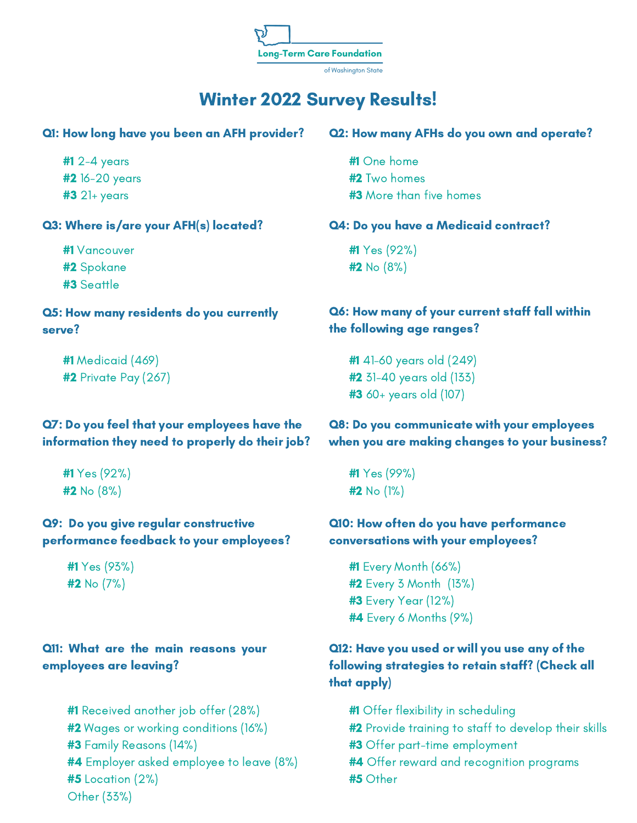**Long-Term Care Foundation** 

of Washington State

# Winter 2022 Survey Results!

#1 2-4 years #2 16-20 years #3 21+ years

# Q3: Where is/are your AFH(s) located?

#1 Vancouver #2 Spokane #3 Seattle

### Q5: How many residents do you currently serve?

#1 Medicaid (469) #2 Private Pay (267)

# Q7: Do you feel that your employees have the information they need to properly do their job?

#1 Yes (92%)  $#2$  No  $(8%)$ 

### Q9: Do you give regular constructive performance feedback to your employees?

#1 Yes (93%)  $#2$  No  $(7%)$ 

### Q11: What are the main reasons your employees are leaving?

#1 Received another job offer (28%) #2 Wages or working conditions (16%) #3 Family Reasons (14%) #4 Employer asked employee to leave (8%)  $#5$  Location  $(2%)$ Other (33%)

#### Q1: How long have you been an AFH provider? Q2: How many AFHs do you own and operate?

#1 One home #2 Two homes #3 More than five homes

### Q4: Do you have a Medicaid contract?

#1 Yes (92%) #2 No (8%)

# Q6: How many of your current staff fall within the following age ranges?

#1 41-60 years old (249) #2 31-40 years old (133) #3 60+ years old (107)

# Q8: Do you communicate with your employees when you are making changes to your business?

#1 Yes (99%) #2 No (1%)

### Q10: How often do you have performance conversations with your employees?

#1 Every Month (66%) #2 Every 3 Month (13%) #3 Every Year (12%) #4 Every 6 Months (9%)

# Q12: Have you used or will you use any of the following strategies to retain staff? (Check all that apply)

- #1 Offer flexibility in scheduling
- #2 Provide training to staff to develop their skills
- **#3** Offer part-time employment
- **#4** Offer reward and recognition programs
- #5 Other